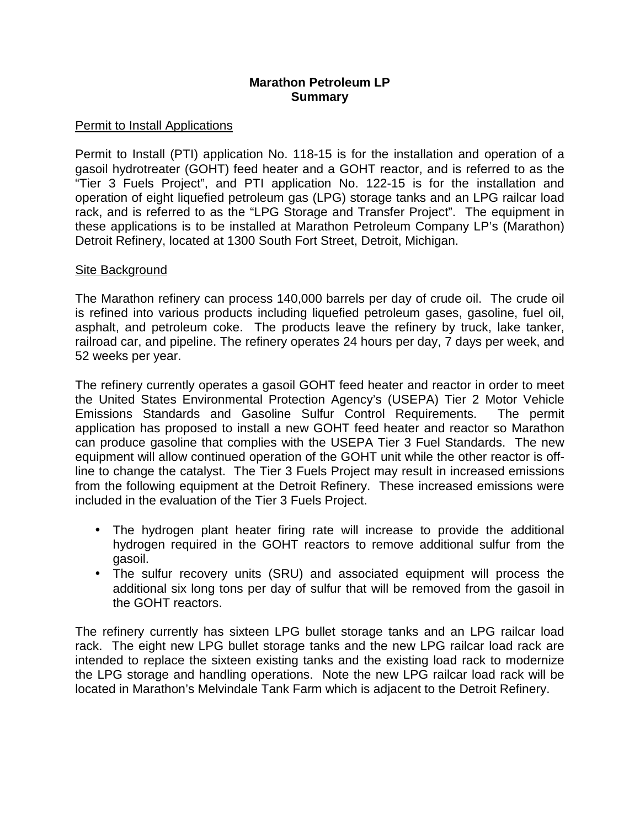# **Marathon Petroleum LP Summary**

# **Permit to Install Applications**

 Permit to Install (PTI) application No. 118-15 is for the installation and operation of a gasoil hydrotreater (GOHT) feed heater and a GOHT reactor, and is referred to as the "Tier 3 Fuels Project", and PTI application No. 122-15 is for the installation and operation of eight liquefied petroleum gas (LPG) storage tanks and an LPG railcar load rack, and is referred to as the "LPG Storage and Transfer Project". The equipment in these applications is to be installed at Marathon Petroleum Company LP's (Marathon) Detroit Refinery, located at 1300 South Fort Street, Detroit, Michigan.

# **Site Background**

 The Marathon refinery can process 140,000 barrels per day of crude oil. The crude oil is refined into various products including liquefied petroleum gases, gasoline, fuel oil, asphalt, and petroleum coke. The products leave the refinery by truck, lake tanker, railroad car, and pipeline. The refinery operates 24 hours per day, 7 days per week, and 52 weeks per year.

 The refinery currently operates a gasoil GOHT feed heater and reactor in order to meet the United States Environmental Protection Agency's (USEPA) Tier 2 Motor Vehicle Emissions Standards and Gasoline Sulfur Control Requirements. The permit application has proposed to install a new GOHT feed heater and reactor so Marathon can produce gasoline that complies with the USEPA Tier 3 Fuel Standards. The new equipment will allow continued operation of the GOHT unit while the other reactor is off- line to change the catalyst. The Tier 3 Fuels Project may result in increased emissions from the following equipment at the Detroit Refinery. These increased emissions were included in the evaluation of the Tier 3 Fuels Project.

- • The hydrogen plant heater firing rate will increase to provide the additional hydrogen required in the GOHT reactors to remove additional sulfur from the gasoil.
- • The sulfur recovery units (SRU) and associated equipment will process the additional six long tons per day of sulfur that will be removed from the gasoil in the GOHT reactors.

 The refinery currently has sixteen LPG bullet storage tanks and an LPG railcar load rack. The eight new LPG bullet storage tanks and the new LPG railcar load rack are intended to replace the sixteen existing tanks and the existing load rack to modernize the LPG storage and handling operations. Note the new LPG railcar load rack will be located in Marathon's Melvindale Tank Farm which is adjacent to the Detroit Refinery.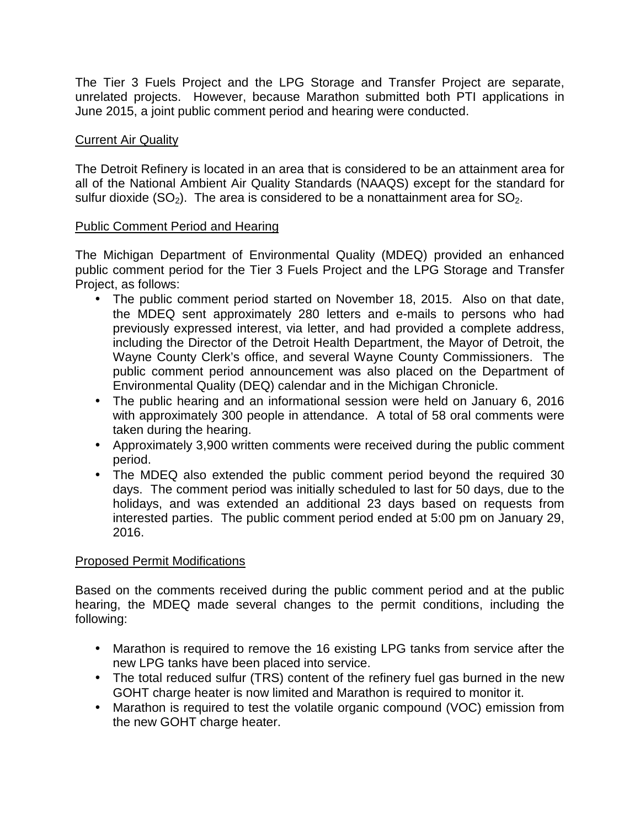The Tier 3 Fuels Project and the LPG Storage and Transfer Project are separate, unrelated projects. However, because Marathon submitted both PTI applications in June 2015, a joint public comment period and hearing were conducted.

# **Current Air Quality**

 The Detroit Refinery is located in an area that is considered to be an attainment area for all of the National Ambient Air Quality Standards (NAAQS) except for the standard for sulfur dioxide (SO<sub>2</sub>). The area is considered to be a nonattainment area for SO<sub>2</sub>.

### Public Comment Period and Hearing

 The Michigan Department of Environmental Quality (MDEQ) provided an enhanced public comment period for the Tier 3 Fuels Project and the LPG Storage and Transfer Project, as follows:

- • The public comment period started on November 18, 2015. Also on that date, the MDEQ sent approximately 280 letters and e-mails to persons who had previously expressed interest, via letter, and had provided a complete address, including the Director of the Detroit Health Department, the Mayor of Detroit, the Wayne County Clerk's office, and several Wayne County Commissioners. The public comment period announcement was also placed on the Department of Environmental Quality (DEQ) calendar and in the Michigan Chronicle.
- • The public hearing and an informational session were held on January 6, 2016 with approximately 300 people in attendance. A total of 58 oral comments were taken during the hearing.
- • Approximately 3,900 written comments were received during the public comment period.
- • The MDEQ also extended the public comment period beyond the required 30 days. The comment period was initially scheduled to last for 50 days, due to the holidays, and was extended an additional 23 days based on requests from interested parties. The public comment period ended at 5:00 pm on January 29, 2016.

# Proposed Permit Modifications

 Based on the comments received during the public comment period and at the public hearing, the MDEQ made several changes to the permit conditions, including the following:

- • Marathon is required to remove the 16 existing LPG tanks from service after the new LPG tanks have been placed into service.
- • The total reduced sulfur (TRS) content of the refinery fuel gas burned in the new GOHT charge heater is now limited and Marathon is required to monitor it.
- • Marathon is required to test the volatile organic compound (VOC) emission from the new GOHT charge heater.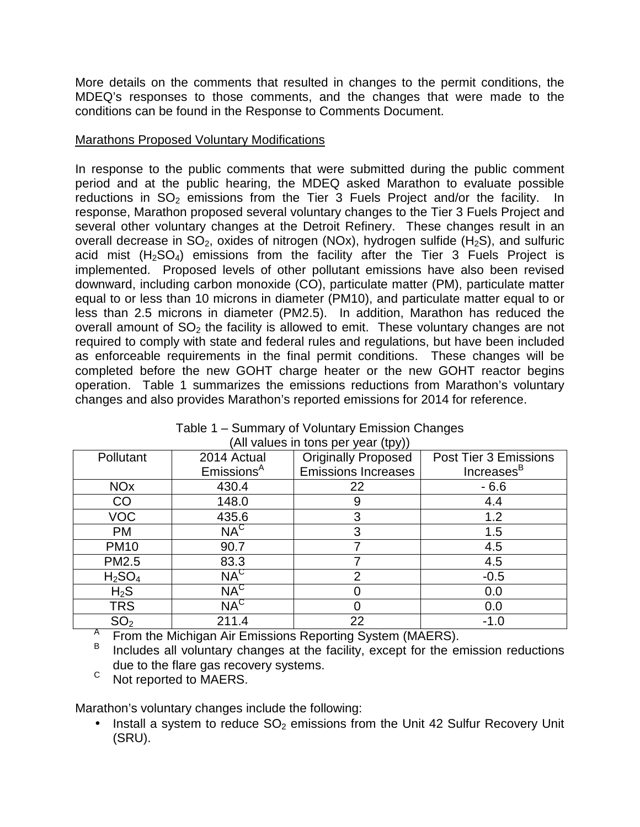More details on the comments that resulted in changes to the permit conditions, the MDEQ's responses to those comments, and the changes that were made to the conditions can be found in the Response to Comments Document.

### **Marathons Proposed Voluntary Modifications**

 In response to the public comments that were submitted during the public comment period and at the public hearing, the MDEQ asked Marathon to evaluate possible reductions in  $SO<sub>2</sub>$  emissions from the Tier 3 Fuels Project and/or the facility. In response, Marathon proposed several voluntary changes to the Tier 3 Fuels Project and several other voluntary changes at the Detroit Refinery. These changes result in an overall decrease in  $SO_2$ , oxides of nitrogen (NOx), hydrogen sulfide (H<sub>2</sub>S), and sulfuric acid mist  $(H<sub>2</sub>SO<sub>4</sub>)$  emissions from the facility after the Tier 3 Fuels Project is implemented. Proposed levels of other pollutant emissions have also been revised downward, including carbon monoxide (CO), particulate matter (PM), particulate matter equal to or less than 10 microns in diameter (PM10), and particulate matter equal to or less than 2.5 microns in diameter (PM2.5). In addition, Marathon has reduced the overall amount of  $SO<sub>2</sub>$  the facility is allowed to emit. These voluntary changes are not required to comply with state and federal rules and regulations, but have been included as enforceable requirements in the final permit conditions. These changes will be completed before the new GOHT charge heater or the new GOHT reactor begins operation. Table 1 summarizes the emissions reductions from Marathon's voluntary changes and also provides Marathon's reported emissions for 2014 for reference.

| All values in tons per year (tpy)) |                        |                                                     |                        |  |  |  |  |
|------------------------------------|------------------------|-----------------------------------------------------|------------------------|--|--|--|--|
| Pollutant                          | 2014 Actual            | <b>Originally Proposed</b><br>Post Tier 3 Emissions |                        |  |  |  |  |
|                                    | Emissions <sup>A</sup> | <b>Emissions Increases</b>                          | Increases <sup>B</sup> |  |  |  |  |
| <b>NO<sub>x</sub></b>              | 430.4                  | 22                                                  | $-6.6$                 |  |  |  |  |
| <b>CO</b>                          | 148.0                  | 9                                                   | 4.4                    |  |  |  |  |
| <b>VOC</b>                         | 435.6                  | 3                                                   | 1.2                    |  |  |  |  |
| PM                                 | $NA^C$                 | 3                                                   | 1.5                    |  |  |  |  |
| <b>PM10</b>                        | 90.7                   |                                                     | 4.5                    |  |  |  |  |
| PM2.5                              | 83.3                   |                                                     | 4.5                    |  |  |  |  |
| H <sub>2</sub> SO <sub>4</sub>     | $NA^C$                 | າ                                                   | $-0.5$                 |  |  |  |  |
| $H_2S$                             | $NA^C$                 |                                                     | 0.0                    |  |  |  |  |
| TRS                                | $NA^C$                 |                                                     | 0.0                    |  |  |  |  |
| SO <sub>2</sub>                    | 211.4                  | 22                                                  | $-1.0$                 |  |  |  |  |

|                                     | Table 1 – Summary of Voluntary Emission Changes |  |  |  |
|-------------------------------------|-------------------------------------------------|--|--|--|
| (All values in tons per year (tpy)) |                                                 |  |  |  |

<sup>A</sup> From the Michigan Air Emissions Reporting System (MAERS).

- B due to the flare gas recovery systems. Includes all voluntary changes at the facility, except for the emission reductions
- C Not reported to MAERS.

Marathon's voluntary changes include the following:

 $\bullet$ Install a system to reduce  $SO<sub>2</sub>$  emissions from the Unit 42 Sulfur Recovery Unit (SRU).